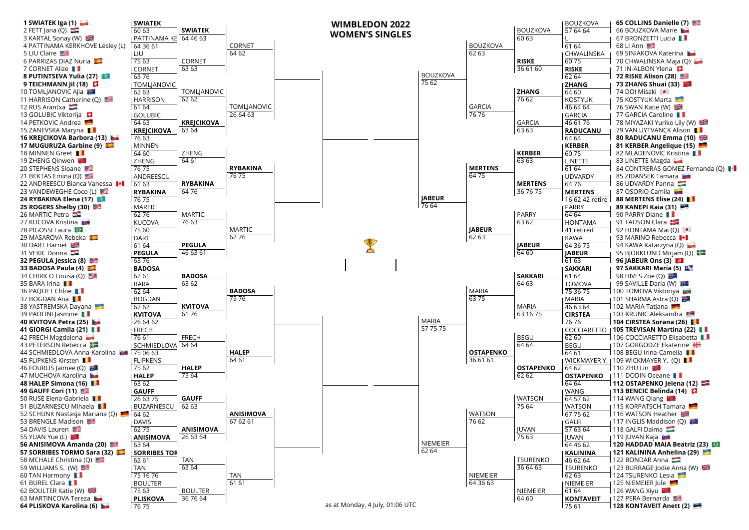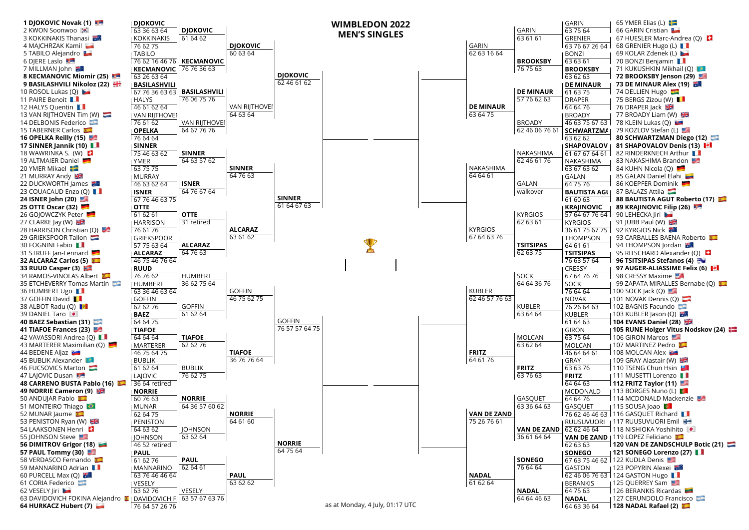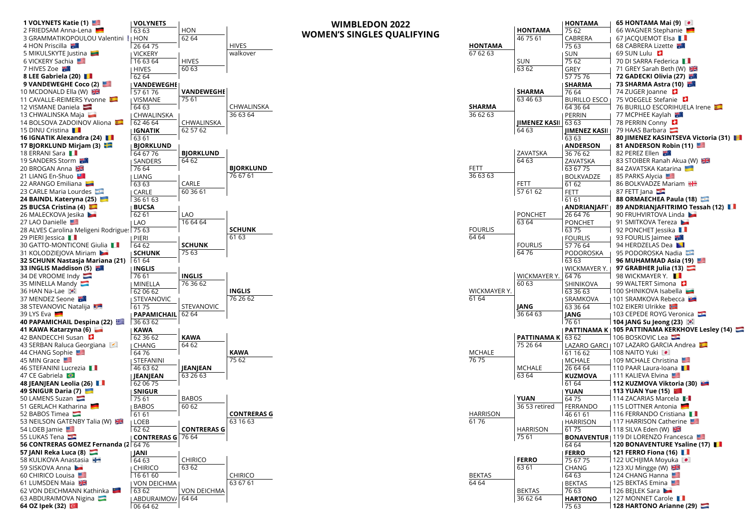| 1 VOLYNETS Katie (1)                             | <b>I VOLYNETS</b>        |                    | <b>WIMBLEDON 2022</b>             |                           |                 |                          | <b>HONTAMA</b>        | 65 HONTAMA Mai (9)                                                              |
|--------------------------------------------------|--------------------------|--------------------|-----------------------------------|---------------------------|-----------------|--------------------------|-----------------------|---------------------------------------------------------------------------------|
| 2 FRIEDSAM Anna-Lena                             | 63 63                    | HON                | <b>WOMEN'S SINGLES QUALIFYING</b> |                           |                 | <b>HONTAMA</b>           | 75 62                 | 66 WAGNER Stephanie                                                             |
| 3 GRAMMATIKOPOULOU Valentini !   HON             |                          | 6264               |                                   |                           |                 | 46 75 61                 | CABRERA               | 67 JACQUEMOT Elsa <b>II</b>                                                     |
| 4 HON Priscilla                                  | 26 64 75                 |                    | <b>HIVES</b>                      |                           | <b>HONTAMA</b>  |                          | 75 63                 | 68 CABRERA Lizette                                                              |
| 5 MIKULSKYTE Justina                             | I VICKERY                |                    | walkover                          | 67 62 63                  |                 |                          | SUN                   | 69 SUN Lulu                                                                     |
| 6 VICKERY Sachia                                 | 16 63 64                 | <b>HIVES</b>       |                                   |                           |                 | <b>SUN</b>               | 7562                  | 70 DI SARRA Federica                                                            |
| 7 HIVES Zoe                                      | <b>HIVES</b>             | 60 63              |                                   |                           |                 | 6362                     | GREY                  | 71 GREY Sarah Beth (W)                                                          |
| 8 LEE Gabriela (20)                              | 62 64                    |                    |                                   |                           |                 |                          | 57 75 76              | 72 GADECKI Olivia (27)                                                          |
| 9 VANDEWEGHE Coco (2)                            | <b>I VANDEWEGHE</b>      |                    |                                   |                           |                 |                          | <b>SHARMA</b>         | 73 SHARMA Astra (10) 3                                                          |
| 10 MCDONALD Ella (W)                             | 57 61 76                 | <b>VANDEWEGHE</b>  |                                   |                           |                 | <b>SHARMA</b>            | 76 64                 | 74 ZUGER Joanne                                                                 |
| 11 CAVALLE-REIMERS Yvonne                        | <b>I VISMANE</b>         | 75 61              | CHWALINSKA                        |                           |                 | 63 46 63                 | <b>BURILLO ESCO I</b> | 75 VOEGELE Stefanie                                                             |
| 12 VISMANE Daniela                               | 64 63                    |                    | 36 63 64                          | <b>SHARMA</b><br>36 62 63 |                 |                          | 64 36 64              | 76 BURILLO ESCORIHUELA Irene<br>77 MCPHEE Kaylah 出版                             |
| 13 CHWALINSKA Maja<br>14 BOLSOVA ZADOINOV Aliona | I CHWALINSKA<br>62 46 64 | CHWALINSKA         |                                   |                           |                 | <b>JIMENEZ KASII</b>     | PERRIN<br>63 63       | 78 PERRIN Conny                                                                 |
| 15 DINU Cristina                                 | <b>I IGNATIK</b>         | 62 57 62           |                                   |                           |                 | 64 63                    | <b>JIMENEZ KASILI</b> | 79 HAAS Barbara                                                                 |
| 16 IGNATIK Alexandra (24)                        | 63 61                    |                    |                                   |                           |                 |                          | 63 63                 | 80 JIMENEZ KASINTSEVA Victoria (31)                                             |
| 17 BJORKLUND Mirjam (3)                          | <b>BJORKLUND</b>         |                    |                                   |                           |                 |                          | <b>ANDERSON</b>       | 81 ANDERSON Robin (11)                                                          |
| 18 ERRANI Sara                                   | 64 67 76                 | <b>BJORKLUND</b>   |                                   |                           |                 | ZAVATSKA                 | 36 76 62              | 82 PEREZ Ellen                                                                  |
| 19 SANDERS Storm 表情                              | <b>SANDERS</b>           | 6462               |                                   |                           |                 | 64 63                    | ZAVATSKA              | 83 STOIBER Ranah Akua (W)                                                       |
| 20 BROGAN Anna                                   | 76 64                    |                    | <b>BJORKLUND</b>                  | FETT                      |                 |                          | 63 67 75              | 84 ZAVATSKA Katarina                                                            |
| 21 LIANG En-Shuo                                 | <b>LIANG</b>             |                    | 76 67 61                          | 366363                    |                 |                          | BOLKVADZE             | 85 PARKS Alycia                                                                 |
| 22 ARANGO Emiliana                               | 6363                     | CARLE              |                                   |                           |                 | FETT                     | 61 62                 | 86 BOLKVADZE Mariam                                                             |
| 23 CARLE Maria Lourdes                           | <b>CARLE</b>             | 60 36 61           |                                   |                           |                 | 57 61 62                 | FETT                  | 87 FETT Jana                                                                    |
| 24 BAINDL Kateryna (25)                          | 36 61 63                 |                    |                                   |                           |                 |                          | 61 61                 | 88 ORMAECHEA Paula (18)                                                         |
| 25 BUCSA Cristina (4)                            | <b>BUCSA</b>             |                    |                                   |                           |                 |                          | <b>ANDRIANJAFI</b>    | 89 ANDRIANJAFITRIMO Tessah (12)                                                 |
| 26 MALECKOVA Jesika                              | 62 61                    | LAO                |                                   |                           |                 | PONCHET                  | 26 64 76              | 90 FRUHVIRTOVA Linda                                                            |
| 27 LAO Danielle                                  | I LAO                    | 16 64 64           |                                   |                           |                 | 63 64                    | <b>PONCHET</b>        | 91 SMITKOVA Tereza                                                              |
| 28 ALVES Carolina Meligeni Rodrigue: 75 63       |                          |                    | <b>SCHUNK</b>                     | <b>FOURLIS</b>            |                 |                          | $\sqrt{6375}$         | 92 PONCHET Jessika                                                              |
| 29 PIERI Jessica <b>Li</b>                       | ן PIERI                  |                    | 61 63                             | 64 64                     |                 |                          | <b>FOURLIS</b>        | 93 FOURLIS Jaimee                                                               |
| 30 GATTO-MONTICONE Giulia                        | 6462                     | <b>SCHUNK</b>      |                                   |                           |                 | <b>FOURLIS</b>           | 57 76 64              | 94 HERDZELAS Dea                                                                |
| 31 KOLODZIEJOVA Miriam                           | <b>SCHUNK</b>            | 75 63              |                                   |                           |                 | 6476                     | PODOROSKA             | 95 PODOROSKA Nadia                                                              |
| 32 SCHUNK Nastasja Mariana (21)                  | 61 64                    |                    |                                   |                           |                 |                          | 63 63                 | 96 MUHAMMAD Asia (19)                                                           |
| 33 INGLIS Maddison (5)                           | <b>INGLIS</b>            |                    |                                   |                           |                 |                          | <b>WICKMAYER Y.</b>   | 97 GRABHER Julia (13) $\Box$                                                    |
| 34 DE VROOME Indy                                | 76 61                    | <b>INGLIS</b>      |                                   |                           |                 | WICKMAYER Y.             | 6476                  | 98 WICKMAYER Y. <b>■■</b>                                                       |
| 35 MINELLA Mandy                                 | J MINELLA                | 76 36 62           |                                   |                           |                 | 60 63                    | SHINIKOVA             | 99 WALTERT Simona                                                               |
| 36 HAN Na-Lae                                    | 62 06 62                 |                    | <b>INGLIS</b>                     |                           | WICKMAYER Y.    |                          | 63 36 63              | 100 SHINIKOVA Isabella                                                          |
| 37 MENDEZ Seone                                  | <b>STEVANOVIC</b>        |                    | 76 26 62                          | 61 64                     |                 |                          | SRAMKOVA              | 101 SRAMKOVA Rebecca                                                            |
| 38 STEVANOVIC Natalija                           | 61 75                    | STEVANOVIC         |                                   |                           |                 | JANG                     | 63 36 64              | 102 EIKERI Ulrikke Ha                                                           |
| 39 LYS Eva                                       | I PAPAMICHAIL            | 62 64              |                                   |                           |                 | 36 64 63                 | JANG                  | 103 CEPEDE ROYG Veronica                                                        |
| 40 PAPAMICHAIL Despina (22)                      | 36 63 62                 |                    |                                   |                           |                 |                          | 76 61                 | 104 JANG Su Jeong (23)     <br>PATTINAMA K   105 PATTINAMA KERKHOVE Lesley (14) |
| 41 KAWA Katarzyna (6)<br>42 BANDECCHI Susan      | <b>KAWA</b><br>62 36 62  | <b>KAWA</b>        |                                   |                           |                 | <b>PATTINAMA K 63 62</b> |                       | 106 BOSKOVIC Lea                                                                |
| 43 SERBAN Raluca Georgiana                       | I CHANG                  | 6462               |                                   |                           |                 | 75 26 64                 |                       | LAZARO GARCI   107 LAZARO GARCIA Andrea                                         |
| 44 CHANG Sophie                                  | 64 76                    |                    | <b>KAWA</b>                       | MCHALE                    |                 |                          | 61 16 62              | 108 NAITO Yuki ·                                                                |
| 45 MIN Grace                                     | <b>STEFANINI</b>         |                    | 75 62                             | 76 75                     |                 |                          | MCHALE                | 109 MCHALE Christina                                                            |
| 46 STEFANINI Lucrezia                            | 46 63 62                 | JEANJEAN           |                                   |                           |                 | <b>MCHALE</b>            | 26 64 64              | 110 PAAR Laura-loana                                                            |
| 47 CE Gabriela                                   | JEANJEAN                 | 63 26 63           |                                   |                           |                 | 63 64                    | <b>KUZMOVA</b>        | 111 KALIEVA Elvina                                                              |
| 48 JEANJEAN Leolia (26)                          | 62 06 75                 |                    |                                   |                           |                 |                          | 61 64                 | 112 KUZMOVA Viktoria (30)                                                       |
| 49 SNIGUR Daria (7)                              | SNIGUR                   |                    |                                   |                           |                 |                          | <b>YUAN</b>           | 113 YUAN Yue (15)                                                               |
| 50 LAMENS Suzan                                  | 75 61                    | <b>BABOS</b>       |                                   |                           |                 | <b>YUAN</b>              | 6475                  | 114 ZACARIAS Marcela                                                            |
| 51 GERLACH Katharina                             | <b>BABOS</b>             | 60 62              |                                   |                           |                 | 36 53 retired            | FERRANDO              | 115 LOTTNER Antonia                                                             |
| 52 BABOS Timea                                   | 61 61                    |                    | <b>CONTRERAS G</b>                |                           | <b>HARRISON</b> |                          | 46 61 61              | 116 FERRANDO Cristiana                                                          |
| 53 NEILSON GATENBY Talia (W)                     | I LOEB                   |                    | 63 16 63                          | 6176                      |                 |                          | <b>HARRISON</b>       | 117 HARRISON Catherine                                                          |
| 54 LOEB Jamie                                    | 62 62                    | <b>CONTRERAS G</b> |                                   |                           |                 | <b>HARRISON</b>          | 6175                  | 118 SILVA Eden (W)                                                              |
| 55 LUKAS Tena                                    | <b>CONTRERAS G 76 64</b> |                    |                                   |                           |                 | 75 61                    |                       | <b>BONAVENTUR</b>   119 DI LORENZO Francesca                                    |
| 56 CONTRERAS GOMEZ Fernanda (2   64 76           |                          |                    |                                   |                           |                 |                          | 64 64                 | 120 BONAVENTURE Ysaline (17)                                                    |
| 57 JANI Reka Luca (8)                            | I JANI                   |                    |                                   |                           |                 |                          | <b>FERRO</b>          | 121 FERRO Fiona (16)                                                            |
| 58 KULIKOVA Anastasia                            | 64 63                    | <b>CHIRICO</b>     |                                   |                           |                 | <b>FERRO</b>             | 75 67 75              | 122 UCHIJIMA Moyuka D                                                           |
| 59 SISKOVA Anna                                  | I CHIRICO                | 63 62              |                                   |                           |                 | 63 61                    | CHANG                 | 123 XU Mingge (W)                                                               |
| 60 CHIRICO Louisa                                | 16 61 60                 |                    | <b>CHIRICO</b>                    | <b>BEKTAS</b>             |                 |                          | $\sqrt{6463}$         | 124 CHANG Hanna                                                                 |
| 61 LUMSDEN Maia                                  | I VON DEICHMA            |                    | 63 67 61                          | 64 64                     |                 |                          | <b>BEKTAS</b>         | 125 BEKTAS Emina                                                                |
| 62 VON DEICHMANN Kathinka                        | 63 62                    | <b>VON DEICHMA</b> |                                   |                           |                 | <b>BEKTAS</b>            | 76 63                 | 126 BEJLEK Sara                                                                 |
| 63 ABDURAIMOVA Nigina                            | ABDURAIMOV/ 64 64        |                    |                                   |                           |                 | 36 62 64                 | <b>HARTONO</b>        | 127 MONNET Carole<br>128 HARTONO Arianne (29)                                   |
| 64 OZ Ipek (32)                                  | 066462                   |                    |                                   |                           |                 |                          | 75 63                 |                                                                                 |